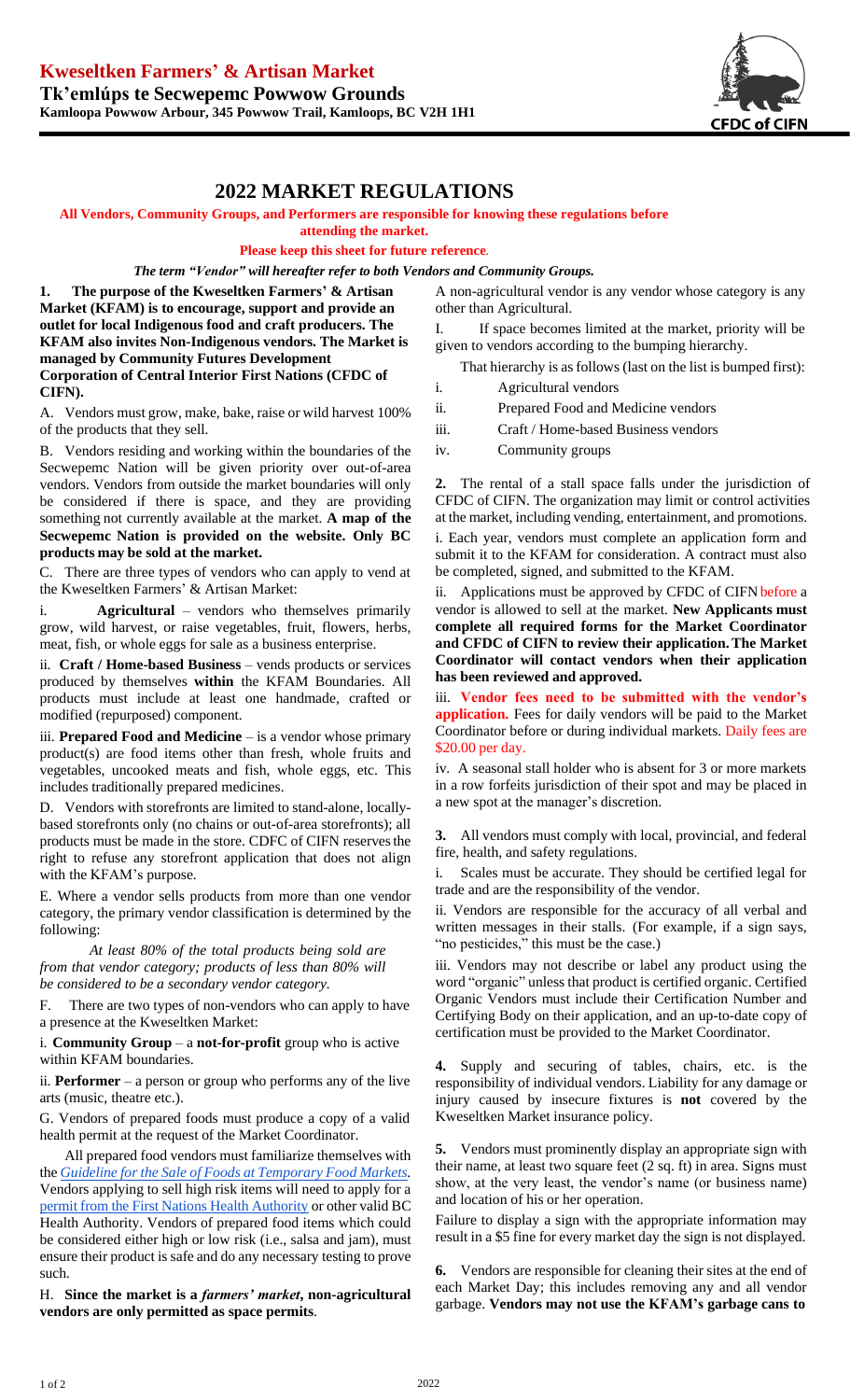

## **2022 MARKET REGULATIONS**

## **All Vendors, Community Groups, and Performers are responsible for knowing these regulations before**

**attending the market.**

**Please keep this sheet for future reference***.*

*The term "Vendor" will hereafter refer to both Vendors and Community Groups.*

**1. The purpose of the Kweseltken Farmers' & Artisan Market (KFAM) is to encourage, support and provide an outlet for local Indigenous food and craft producers. The KFAM also invites Non-Indigenous vendors. The Market is managed by Community Futures Development Corporation of Central Interior First Nations (CFDC of CIFN).**

A. Vendors must grow, make, bake, raise or wild harvest 100% of the products that they sell.

B. Vendors residing and working within the boundaries of the Secwepemc Nation will be given priority over out-of-area vendors. Vendors from outside the market boundaries will only be considered if there is space, and they are providing something not currently available at the market. **A map of the Secwepemc Nation is provided on the website. Only BC products may be sold at the market.**

C. There are three types of vendors who can apply to vend at the Kweseltken Farmers' & Artisan Market:

i. **Agricultural** – vendors who themselves primarily grow, wild harvest, or raise vegetables, fruit, flowers, herbs, meat, fish, or whole eggs for sale as a business enterprise.

ii. **Craft / Home-based Business** – vends products or services produced by themselves **within** the KFAM Boundaries. All products must include at least one handmade, crafted or modified (repurposed) component.

iii. **Prepared Food and Medicine** – is a vendor whose primary product(s) are food items other than fresh, whole fruits and vegetables, uncooked meats and fish, whole eggs, etc. This includes traditionally prepared medicines.

D. Vendors with storefronts are limited to stand-alone, locallybased storefronts only (no chains or out-of-area storefronts); all products must be made in the store. CDFC of CIFN reservesthe right to refuse any storefront application that does not align with the KFAM's purpose.

E. Where a vendor sells products from more than one vendor category, the primary vendor classification is determined by the following:

*At least 80% of the total products being sold are from that vendor category; products of less than 80% will be considered to be a secondary vendor category.*

F. There are two types of non-vendors who can apply to have a presence at the Kweseltken Market:

i. **Community Group** – a **not-for-profit** group who is active within KFAM boundaries.

ii. **Performer** – a person or group who performs any of the live arts (music, theatre etc.).

G. Vendors of prepared foods must produce a copy of a valid health permit at the request of the Market Coordinator.

All prepared food vendors must familiarize themselves with the *Guideline for the Sale of Foods at [Temporary](http://www.bccdc.ca/resource-gallery/Documents/Guidelines%20and%20Forms/Guidelines%20and%20Manuals/EH/FPS/Food/Guidelines%20-%20Sale%20of%20Foods%20at%20Temporary%20Food%20Markets_current.pdf) Food Markets.* Vendors applying to sell high risk items will need to apply for a permit from the First Nations Health [Authority](https://www.fnha.ca/Documents/FNHA-Temporary-Food-Services-Application.pdf) or other valid BC Health Authority. Vendors of prepared food items which could be considered either high or low risk (i.e., salsa and jam), must ensure their product is safe and do any necessary testing to prove such*.*

H. **Since the market is a** *farmers' market***, non-agricultural vendors are only permitted as space permits**.

A non-agricultural vendor is any vendor whose category is any other than Agricultural.

I. If space becomes limited at the market, priority will be given to vendors according to the bumping hierarchy.

That hierarchy is as follows (last on the list is bumped first):

- i. Agricultural vendors
- ii. Prepared Food and Medicine vendors
- iii. Craft / Home-based Business vendors
- iv. Community groups

**2.** The rental of a stall space falls under the jurisdiction of CFDC of CIFN. The organization may limit or control activities at the market, including vending, entertainment, and promotions.

i. Each year, vendors must complete an application form and submit it to the KFAM for consideration. A contract must also be completed, signed, and submitted to the KFAM.

ii. Applications must be approved by CFDC of CIFN before a vendor is allowed to sell at the market. **New Applicants must complete all required forms for the Market Coordinator and CFDC of CIFN to review their application.The Market Coordinator will contact vendors when their application has been reviewed and approved.**

iii. **Vendor fees need to be submitted with the vendor's application.** Fees for daily vendors will be paid to the Market Coordinator before or during individual markets. Daily fees are \$20.00 per day.

iv. A seasonal stall holder who is absent for 3 or more markets in a row forfeits jurisdiction of their spot and may be placed in a new spot at the manager's discretion.

**3.** All vendors must comply with local, provincial, and federal fire, health, and safety regulations.

i. Scales must be accurate. They should be certified legal for trade and are the responsibility of the vendor.

ii. Vendors are responsible for the accuracy of all verbal and written messages in their stalls. (For example, if a sign says, "no pesticides," this must be the case.)

iii. Vendors may not describe or label any product using the word "organic" unless that product is certified organic. Certified Organic Vendors must include their Certification Number and Certifying Body on their application, and an up-to-date copy of certification must be provided to the Market Coordinator.

**4.** Supply and securing of tables, chairs, etc. is the responsibility of individual vendors. Liability for any damage or injury caused by insecure fixtures is **not** covered by the Kweseltken Market insurance policy.

**5.** Vendors must prominently display an appropriate sign with their name, at least two square feet (2 sq. ft) in area. Signs must show, at the very least, the vendor's name (or business name) and location of his or her operation.

Failure to display a sign with the appropriate information may result in a \$5 fine for every market day the sign is not displayed.

**6.** Vendors are responsible for cleaning their sites at the end of each Market Day; this includes removing any and all vendor garbage. **Vendors may not use the KFAM's garbage cans to**